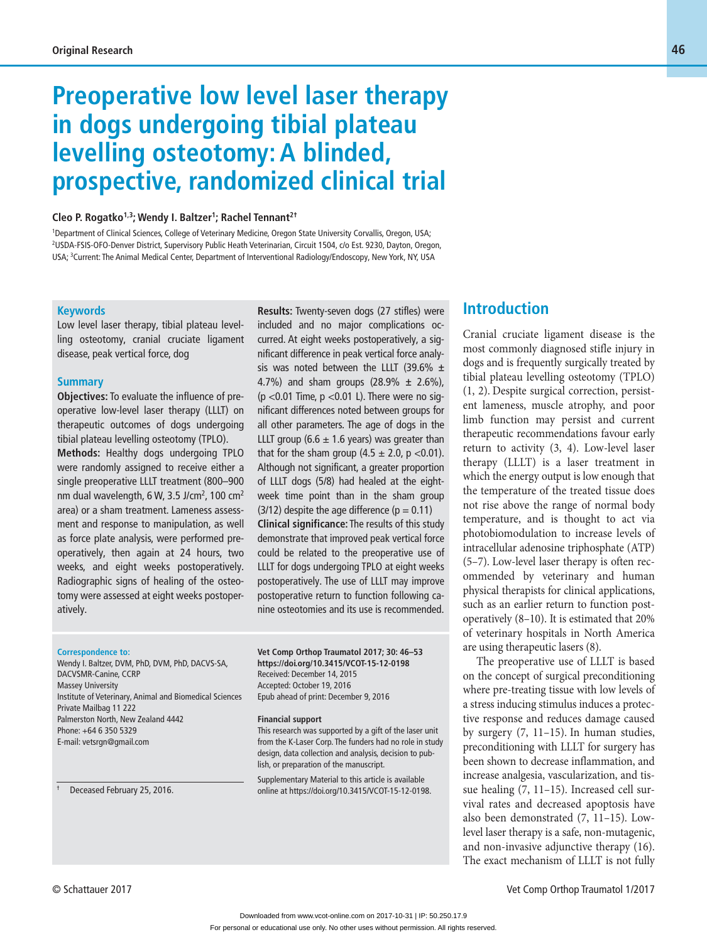# **Preoperative low level laser therapy in dogs undergoing tibial plateau levelling osteotomy: A blinded, prospective, randomized clinical trial**

#### **Cleo P. Rogatko1,3; Wendy I. Baltzer1; Rachel Tennant2†**

1 Department of Clinical Sciences, College of Veterinary Medicine, Oregon State University Corvallis, Oregon, USA; 2 USDA-FSIS-OFO-Denver District, Supervisory Public Heath Veterinarian, Circuit 1504, c/o Est. 9230, Dayton, Oregon, USA; 3 Current: The Animal Medical Center, Department of Interventional Radiology/Endoscopy, New York, NY, USA

#### **Keywords**

Low level laser therapy, tibial plateau levelling osteotomy, cranial cruciate ligament disease, peak vertical force, dog

#### **Summary**

**Objectives:** To evaluate the influence of preoperative low-level laser therapy (LLLT) on therapeutic outcomes of dogs undergoing tibial plateau levelling osteotomy (TPLO). **Methods:** Healthy dogs undergoing TPLO were randomly assigned to receive either a single preoperative LLLT treatment (800–900 nm dual wavelength, 6 W, 3.5 J/cm<sup>2</sup>, 100 cm<sup>2</sup> area) or a sham treatment. Lameness assessment and response to manipulation, as well as force plate analysis, were performed preoperatively, then again at 24 hours, two weeks, and eight weeks postoperatively. Radiographic signs of healing of the osteotomy were assessed at eight weeks postoperatively.

**Results:** Twenty-seven dogs (27 stifles) were included and no major complications occurred. At eight weeks postoperatively, a significant difference in peak vertical force analysis was noted between the LLLT (39.6%  $\pm$ 4.7%) and sham groups (28.9% ± 2.6%), ( $p$  <0.01 Time,  $p$  <0.01 L). There were no significant differences noted between groups for all other parameters. The age of dogs in the LLLT group (6.6  $\pm$  1.6 years) was greater than that for the sham group  $(4.5 \pm 2.0, p < 0.01)$ . Although not significant, a greater proportion of LLLT dogs (5/8) had healed at the eightweek time point than in the sham group  $(3/12)$  despite the age difference  $(p = 0.11)$ **Clinical significance:** The results of this study demonstrate that improved peak vertical force could be related to the preoperative use of LLLT for dogs undergoing TPLO at eight weeks

postoperatively. The use of LLLT may improve postoperative return to function following canine osteotomies and its use is recommended.

#### **Correspondence to:**

Wendy I. Baltzer, DVM, PhD, DVM, PhD, DACVS-SA, DACVSMR-Canine, CCRP Massey University Institute of Veterinary, Animal and Biomedical Sciences Private Mailbag 11 222 Palmerston North, New Zealand 4442 Phone: +64 6 350 5329 E-mail: vetsrgn@gmail.com

**Vet Comp Orthop Traumatol 2017; 30: 46–53 https://doi.org/10.3415/VCOT-15-12-0198** Received: December 14, 2015 Accepted: October 19, 2016 Epub ahead of print: December 9, 2016

#### **Financial support**

This research was supported by a gift of the laser unit from the K-Laser Corp. The funders had no role in study design, data collection and analysis, decision to publish, or preparation of the manuscript.

Supplementary Material to this article is available Deceased February 25, 2016. The contract online at https://doi.org/10.3415/VCOT-15-12-0198.

## **Introduction**

Cranial cruciate ligament disease is the most commonly diagnosed stifle injury in dogs and is frequently surgically treated by tibial plateau levelling osteotomy (TPLO) (1, 2). Despite surgical correction, persistent lameness, muscle atrophy, and poor limb function may persist and current therapeutic recommendations favour early return to activity (3, 4). Low-level laser therapy (LLLT) is a laser treatment in which the energy output is low enough that the temperature of the treated tissue does not rise above the range of normal body temperature, and is thought to act via photobiomodulation to increase levels of intracellular adenosine triphosphate (ATP) (5–7). Low-level laser therapy is often recommended by veterinary and human physical therapists for clinical applications, such as an earlier return to function postoperatively (8–10). It is estimated that 20% of veterinary hospitals in North America are using therapeutic lasers (8).

The preoperative use of LLLT is based on the concept of surgical preconditioning where pre-treating tissue with low levels of a stress inducing stimulus induces a protective response and reduces damage caused by surgery (7, 11–15). In human studies, preconditioning with LLLT for surgery has been shown to decrease inflammation, and increase analgesia, vascularization, and tissue healing (7, 11–15). Increased cell survival rates and decreased apoptosis have also been demonstrated (7, 11–15). Lowlevel laser therapy is a safe, non-mutagenic, and non-invasive adjunctive therapy (16). The exact mechanism of LLLT is not fully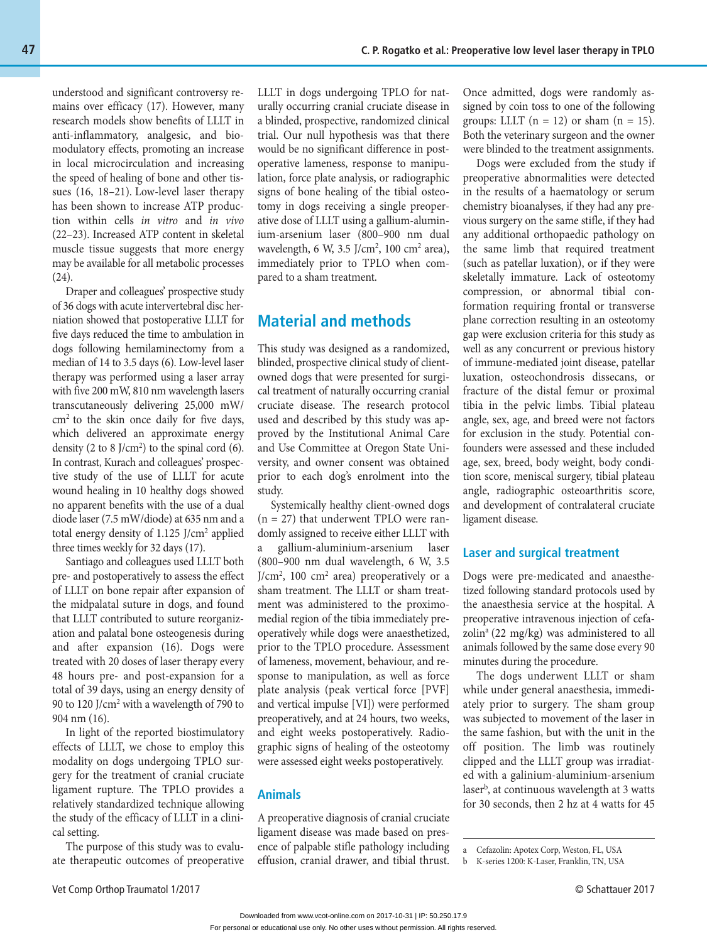understood and significant controversy remains over efficacy (17). However, many research models show benefits of LLLT in anti-inflammatory, analgesic, and biomodulatory effects, promoting an increase in local microcirculation and increasing the speed of healing of bone and other tissues (16, 18–21). Low-level laser therapy has been shown to increase ATP production within cells *in vitro* and *in vivo*  (22–23). Increased ATP content in skeletal muscle tissue suggests that more energy may be available for all metabolic processes (24).

Draper and colleagues' prospective study of 36 dogs with acute intervertebral disc herniation showed that postoperative LLLT for five days reduced the time to ambulation in dogs following hemilaminectomy from a median of 14 to 3.5 days (6). Low-level laser therapy was performed using a laser array with five 200 mW, 810 nm wavelength lasers transcutaneously delivering 25,000 mW/ cm2 to the skin once daily for five days, which delivered an approximate energy density  $(2 \text{ to } 8 \text{ J/cm}^2)$  to the spinal cord  $(6)$ . In contrast, Kurach and colleagues' prospective study of the use of LLLT for acute wound healing in 10 healthy dogs showed no apparent benefits with the use of a dual diode laser (7.5 mW/diode) at 635 nm and a total energy density of 1.125 J/cm<sup>2</sup> applied three times weekly for 32 days (17).

Santiago and colleagues used LLLT both pre- and postoperatively to assess the effect of LLLT on bone repair after expansion of the midpalatal suture in dogs, and found that LLLT contributed to suture reorganization and palatal bone osteogenesis during and after expansion (16). Dogs were treated with 20 doses of laser therapy every 48 hours pre- and post-expansion for a total of 39 days, using an energy density of 90 to 120 J/cm2 with a wavelength of 790 to 904 nm (16).

In light of the reported biostimulatory effects of LLLT, we chose to employ this modality on dogs undergoing TPLO surgery for the treatment of cranial cruciate ligament rupture. The TPLO provides a relatively standardized technique allowing the study of the efficacy of LLLT in a clinical setting.

The purpose of this study was to evaluate therapeutic outcomes of preoperative LLLT in dogs undergoing TPLO for naturally occurring cranial cruciate disease in a blinded, prospective, randomized clinical trial. Our null hypothesis was that there would be no significant difference in postoperative lameness, response to manipulation, force plate analysis, or radiographic signs of bone healing of the tibial osteotomy in dogs receiving a single preoperative dose of LLLT using a gallium-aluminium-arsenium laser (800–900 nm dual wavelength, 6 W, 3.5  $J/cm<sup>2</sup>$ , 100 cm<sup>2</sup> area), immediately prior to TPLO when compared to a sham treatment.

## **Material and methods**

This study was designed as a randomized, blinded, prospective clinical study of clientowned dogs that were presented for surgical treatment of naturally occurring cranial cruciate disease. The research protocol used and described by this study was approved by the Institutional Animal Care and Use Committee at Oregon State University, and owner consent was obtained prior to each dog's enrolment into the study.

Systemically healthy client-owned dogs  $(n = 27)$  that underwent TPLO were randomly assigned to receive either LLLT with a gallium-aluminium-arsenium laser (800–900 nm dual wavelength, 6 W, 3.5  $J/cm<sup>2</sup>$ , 100 cm<sup>2</sup> area) preoperatively or a sham treatment. The LLLT or sham treatment was administered to the proximomedial region of the tibia immediately preoperatively while dogs were anaesthetized, prior to the TPLO procedure. Assessment of lameness, movement, behaviour, and response to manipulation, as well as force plate analysis (peak vertical force [PVF] and vertical impulse [VI]) were performed preoperatively, and at 24 hours, two weeks, and eight weeks postoperatively. Radiographic signs of healing of the osteotomy were assessed eight weeks postoperatively.

#### **Animals**

A preoperative diagnosis of cranial cruciate ligament disease was made based on presence of palpable stifle pathology including effusion, cranial drawer, and tibial thrust. Once admitted, dogs were randomly assigned by coin toss to one of the following groups: LLLT  $(n = 12)$  or sham  $(n = 15)$ . Both the veterinary surgeon and the owner were blinded to the treatment assignments.

Dogs were excluded from the study if preoperative abnormalities were detected in the results of a haematology or serum chemistry bioanalyses, if they had any previous surgery on the same stifle, if they had any additional orthopaedic pathology on the same limb that required treatment (such as patellar luxation), or if they were skeletally immature. Lack of osteotomy compression, or abnormal tibial conformation requiring frontal or transverse plane correction resulting in an osteotomy gap were exclusion criteria for this study as well as any concurrent or previous history of immune-mediated joint disease, patellar luxation, osteochondrosis dissecans, or fracture of the distal femur or proximal tibia in the pelvic limbs. Tibial plateau angle, sex, age, and breed were not factors for exclusion in the study. Potential confounders were assessed and these included age, sex, breed, body weight, body condition score, meniscal surgery, tibial plateau angle, radiographic osteoarthritis score, and development of contralateral cruciate ligament disease.

## **Laser and surgical treatment**

Dogs were pre-medicated and anaesthetized following standard protocols used by the anaesthesia service at the hospital. A preoperative intravenous injection of cefa $zolin<sup>a</sup> (22 mg/kg)$  was administered to all animals followed by the same dose every 90 minutes during the procedure.

The dogs underwent LLLT or sham while under general anaesthesia, immediately prior to surgery. The sham group was subjected to movement of the laser in the same fashion, but with the unit in the off position. The limb was routinely clipped and the LLLT group was irradiated with a galinium-aluminium-arsenium laser<sup>b</sup>, at continuous wavelength at 3 watts for 30 seconds, then 2 hz at 4 watts for 45

a Cefazolin: Apotex Corp, Weston, FL, USA

b K-series 1200: K-Laser, Franklin, TN, USA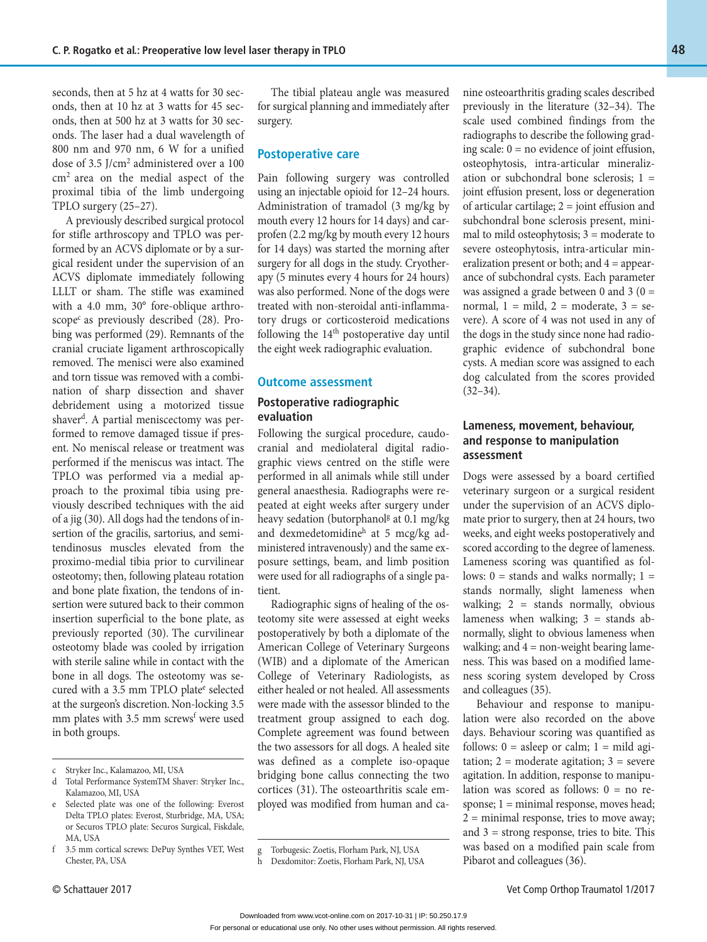seconds, then at 5 hz at 4 watts for 30 seconds, then at 10 hz at 3 watts for 45 seconds, then at 500 hz at 3 watts for 30 seconds. The laser had a dual wavelength of 800 nm and 970 nm, 6 W for a unified dose of 3.5 J/cm<sup>2</sup> administered over a 100 cm2 area on the medial aspect of the proximal tibia of the limb undergoing TPLO surgery (25–27).

A previously described surgical protocol for stifle arthroscopy and TPLO was performed by an ACVS diplomate or by a surgical resident under the supervision of an ACVS diplomate immediately following LLLT or sham. The stifle was examined with a 4.0 mm,  $30^{\circ}$  fore-oblique arthroscope<sup>c</sup> as previously described (28). Probing was performed (29). Remnants of the cranial cruciate ligament arthroscopically removed. The menisci were also examined and torn tissue was removed with a combination of sharp dissection and shaver debridement using a motorized tissue shaver<sup>d</sup>. A partial meniscectomy was performed to remove damaged tissue if present. No meniscal release or treatment was performed if the meniscus was intact. The TPLO was performed via a medial approach to the proximal tibia using previously described techniques with the aid of a jig (30). All dogs had the tendons of insertion of the gracilis, sartorius, and semitendinosus muscles elevated from the proximo-medial tibia prior to curvilinear osteotomy; then, following plateau rotation and bone plate fixation, the tendons of insertion were sutured back to their common insertion superficial to the bone plate, as previously reported (30). The curvilinear osteotomy blade was cooled by irrigation with sterile saline while in contact with the bone in all dogs. The osteotomy was secured with a 3.5 mm TPLO plate<sup>e</sup> selected at the surgeon's discretion. Non-locking 3.5 mm plates with 3.5 mm screws<sup>f</sup> were used in both groups.

The tibial plateau angle was measured for surgical planning and immediately after surgery.

#### **Postoperative care**

Pain following surgery was controlled using an injectable opioid for 12–24 hours. Administration of tramadol (3 mg/kg by mouth every 12 hours for 14 days) and carprofen (2.2 mg/kg by mouth every 12 hours for 14 days) was started the morning after surgery for all dogs in the study. Cryotherapy (5 minutes every 4 hours for 24 hours) was also performed. None of the dogs were treated with non-steroidal anti-inflammatory drugs or corticosteroid medications following the 14<sup>th</sup> postoperative day until the eight week radiographic evaluation.

#### **Outcome assessment**

### **Postoperative radiographic evaluation**

Following the surgical procedure, caudocranial and mediolateral digital radiographic views centred on the stifle were performed in all animals while still under general anaesthesia. Radiographs were repeated at eight weeks after surgery under heavy sedation (butorphanol<sup>g</sup> at 0.1 mg/kg and dexmedetomidineh at 5 mcg/kg administered intravenously) and the same exposure settings, beam, and limb position were used for all radiographs of a single patient.

Radiographic signs of healing of the osteotomy site were assessed at eight weeks postoperatively by both a diplomate of the American College of Veterinary Surgeons (WIB) and a diplomate of the American College of Veterinary Radiologists, as either healed or not healed. All assessments were made with the assessor blinded to the treatment group assigned to each dog. Complete agreement was found between the two assessors for all dogs. A healed site was defined as a complete iso-opaque bridging bone callus connecting the two cortices (31). The osteoarthritis scale employed was modified from human and canine osteoarthritis grading scales described previously in the literature (32–34). The scale used combined findings from the radiographs to describe the following grading scale:  $0 = no$  evidence of joint effusion, osteophytosis, intra-articular mineralization or subchondral bone sclerosis; 1 = joint effusion present, loss or degeneration of articular cartilage; 2 = joint effusion and subchondral bone sclerosis present, minimal to mild osteophytosis;  $3 =$  moderate to severe osteophytosis, intra-articular mineralization present or both; and 4 = appearance of subchondral cysts. Each parameter was assigned a grade between 0 and 3 ( $0 =$ normal,  $1 = \text{mild}$ ,  $2 = \text{moderate}$ ,  $3 = \text{se-}$ vere). A score of 4 was not used in any of the dogs in the study since none had radiographic evidence of subchondral bone cysts. A median score was assigned to each dog calculated from the scores provided  $(32-34)$ .

## **Lameness, movement, behaviour, and response to manipulation assessment**

Dogs were assessed by a board certified veterinary surgeon or a surgical resident under the supervision of an ACVS diplomate prior to surgery, then at 24 hours, two weeks, and eight weeks postoperatively and scored according to the degree of lameness. Lameness scoring was quantified as follows:  $0 =$  stands and walks normally;  $1 =$ stands normally, slight lameness when walking; 2 = stands normally, obvious lameness when walking; 3 = stands abnormally, slight to obvious lameness when walking; and 4 = non-weight bearing lameness. This was based on a modified lameness scoring system developed by Cross and colleagues (35).

Behaviour and response to manipulation were also recorded on the above days. Behaviour scoring was quantified as follows:  $0 =$  asleep or calm;  $1 =$  mild agitation;  $2 =$  moderate agitation;  $3 =$  severe agitation. In addition, response to manipulation was scored as follows: 0 = no response; 1 = minimal response, moves head;  $2 =$  minimal response, tries to move away; and  $3 =$  strong response, tries to bite. This was based on a modified pain scale from Pibarot and colleagues (36).

Stryker Inc., Kalamazoo, MI, USA

d Total Performance SystemTM Shaver: Stryker Inc., Kalamazoo, MI, USA

e Selected plate was one of the following: Everost Delta TPLO plates: Everost, Sturbridge, MA, USA; or Securos TPLO plate: Securos Surgical, Fiskdale, MA, USA

f 3.5 mm cortical screws: DePuy Synthes VET, West Chester, PA, USA

g Torbugesic: Zoetis, Florham Park, NJ, USA

Dexdomitor: Zoetis, Florham Park, NJ, USA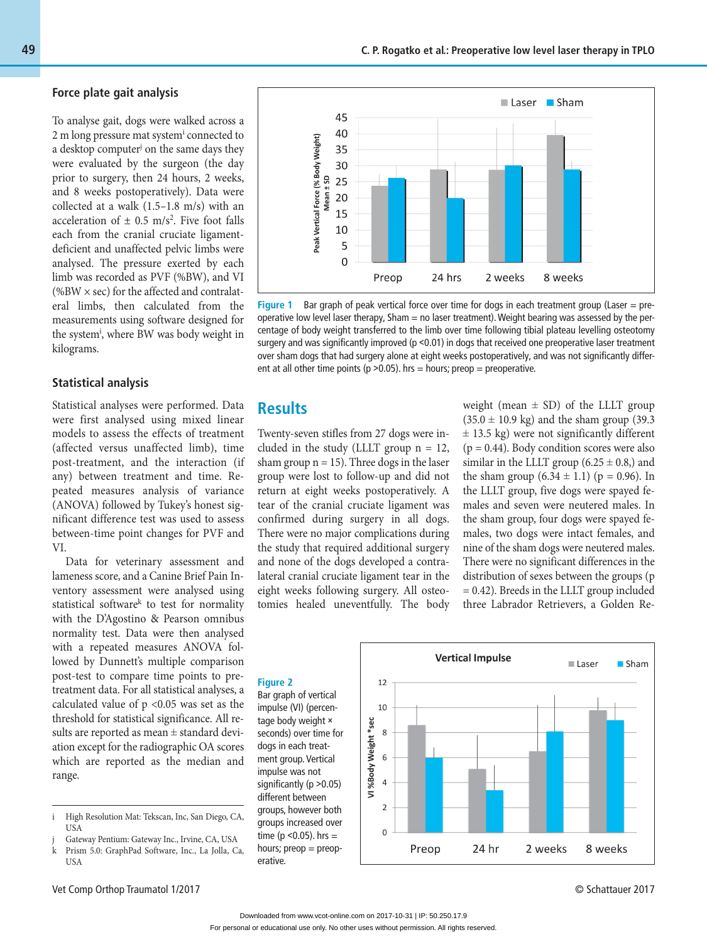#### **Force plate gait analysis**

To analyse gait, dogs were walked across a 2 m long pressure mat system<sup>i</sup> connected to a desktop computer<sup>j</sup> on the same days they were evaluated by the surgeon (the day prior to surgery, then 24 hours, 2 weeks, and 8 weeks postoperatively). Data were collected at a walk (1.5–1.8 m/s) with an acceleration of  $\pm$  0.5 m/s<sup>2</sup>. Five foot falls each from the cranial cruciate ligamentdeficient and unaffected pelvic limbs were analysed. The pressure exerted by each limb was recorded as PVF (%BW), and VI (%BW  $\times$  sec) for the affected and contralateral limbs, then calculated from the measurements using software designed for the systemi , where BW was body weight in kilograms.

#### **Statistical analysis**

Statistical analyses were performed. Data were first analysed using mixed linear models to assess the effects of treatment (affected versus unaffected limb), time post-treatment, and the interaction (if any) between treatment and time. Repeated measures analysis of variance (ANOVA) followed by Tukey's honest significant difference test was used to assess between-time point changes for PVF and VI.

Data for veterinary assessment and lameness score, and a Canine Brief Pain Inventory assessment were analysed using statistical software<sup>k</sup> to test for normality with the D'Agostino & Pearson omnibus normality test. Data were then analysed with a repeated measures ANOVA followed by Dunnett's multiple comparison post-test to compare time points to pretreatment data. For all statistical analyses, a calculated value of  $p$  <0.05 was set as the threshold for statistical significance. All results are reported as mean ± standard deviation except for the radiographic OA scores which are reported as the median and range.



**Figure 1** Bar graph of peak vertical force over time for dogs in each treatment group (Laser = preoperative low level laser therapy, Sham = no laser treatment). Weight bearing was assessed by the percentage of body weight transferred to the limb over time following tibial plateau levelling osteotomy surgery and was significantly improved (p <0.01) in dogs that received one preoperative laser treatment over sham dogs that had surgery alone at eight weeks postoperatively, and was not significantly different at all other time points ( $p > 0.05$ ). hrs = hours; preop = preoperative.

## **Results**

Twenty-seven stifles from 27 dogs were included in the study (LLLT group  $n = 12$ , sham group  $n = 15$ ). Three dogs in the laser group were lost to follow-up and did not return at eight weeks postoperatively. A tear of the cranial cruciate ligament was confirmed during surgery in all dogs. There were no major complications during the study that required additional surgery and none of the dogs developed a contralateral cranial cruciate ligament tear in the eight weeks following surgery. All osteotomies healed uneventfully. The body weight (mean  $\pm$  SD) of the LLLT group  $(35.0 \pm 10.9 \text{ kg})$  and the sham group (39.3)  $\pm$  13.5 kg) were not significantly different  $(p = 0.44)$ . Body condition scores were also similar in the LLLT group  $(6.25 \pm 0.8)$  and the sham group  $(6.34 \pm 1.1)$  (p = 0.96). In the LLLT group, five dogs were spayed females and seven were neutered males. In the sham group, four dogs were spayed females, two dogs were intact females, and nine of the sham dogs were neutered males. There were no significant differences in the distribution of sexes between the groups (p = 0.42). Breeds in the LLLT group included three Labrador Retrievers, a Golden Re-



Bar graph of vertical impulse (VI) (percentage body weight × seconds) over time for dogs in each treatment group. Vertical impulse was not significantly (p > 0.05) different between groups, however both groups increased over time ( $p$  < 0.05). hrs = hours; preop = preoperative.



i High Resolution Mat: Tekscan, Inc, San Diego, CA, **USA** 

Gateway Pentium: Gateway Inc., Irvine, CA, USA

k Prism 5.0: GraphPad Software, Inc., La Jolla, Ca, **USA**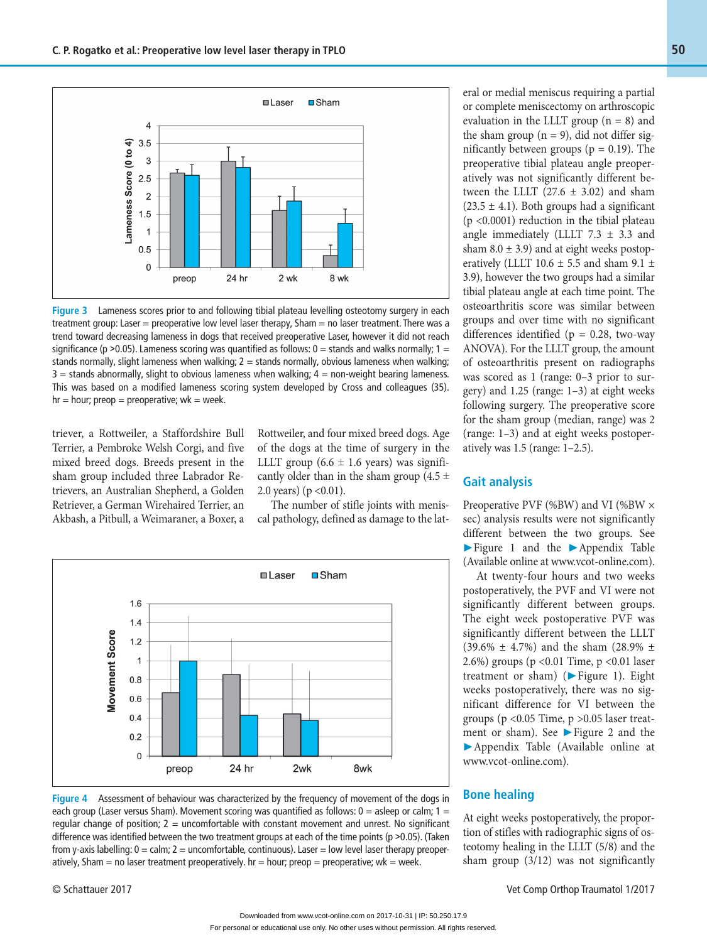

**Figure 3** Lameness scores prior to and following tibial plateau levelling osteotomy surgery in each treatment group: Laser = preoperative low level laser therapy, Sham = no laser treatment. There was a trend toward decreasing lameness in dogs that received preoperative Laser, however it did not reach significance (p > 0.05). Lameness scoring was quantified as follows: 0 = stands and walks normally; 1 = stands normally, slight lameness when walking;  $2 =$  stands normally, obvious lameness when walking;  $3 =$  stands abnormally, slight to obvious lameness when walking;  $4 =$  non-weight bearing lameness. This was based on a modified lameness scoring system developed by Cross and colleagues (35).  $hr = hour$ ; preop = preoperative; wk = week.

triever, a Rottweiler, a Staffordshire Bull Terrier, a Pembroke Welsh Corgi, and five mixed breed dogs. Breeds present in the sham group included three Labrador Retrievers, an Australian Shepherd, a Golden Retriever, a German Wirehaired Terrier, an Akbash, a Pitbull, a Weimaraner, a Boxer, a Rottweiler, and four mixed breed dogs. Age of the dogs at the time of surgery in the LLLT group  $(6.6 \pm 1.6 \text{ years})$  was significantly older than in the sham group  $(4.5 \pm$ 2.0 years) ( $p < 0.01$ ).

The number of stifle joints with meniscal pathology, defined as damage to the lat-



**Figure 4** Assessment of behaviour was characterized by the frequency of movement of the dogs in each group (Laser versus Sham). Movement scoring was quantified as follows:  $0 = a$ sleep or calm;  $1 = a$ regular change of position;  $2 =$  uncomfortable with constant movement and unrest. No significant difference was identified between the two treatment groups at each of the time points (p >0.05). (Taken from y-axis labelling:  $0 =$  calm;  $2 =$  uncomfortable, continuous). Laser = low level laser therapy preoperatively, Sham = no laser treatment preoperatively. hr = hour; preop = preoperative; wk = week.

eral or medial meniscus requiring a partial or complete meniscectomy on arthroscopic evaluation in the LLLT group  $(n = 8)$  and the sham group  $(n = 9)$ , did not differ significantly between groups ( $p = 0.19$ ). The preoperative tibial plateau angle preoperatively was not significantly different between the LLLT  $(27.6 \pm 3.02)$  and sham  $(23.5 \pm 4.1)$ . Both groups had a significant (p <0.0001) reduction in the tibial plateau angle immediately (LLLT  $7.3 \pm 3.3$  and sham  $8.0 \pm 3.9$ ) and at eight weeks postoperatively (LLLT 10.6  $\pm$  5.5 and sham 9.1  $\pm$ 3.9), however the two groups had a similar tibial plateau angle at each time point. The osteoarthritis score was similar between groups and over time with no significant differences identified ( $p = 0.28$ , two-way ANOVA). For the LLLT group, the amount of osteoarthritis present on radiographs was scored as 1 (range: 0–3 prior to surgery) and 1.25 (range: 1–3) at eight weeks following surgery. The preoperative score for the sham group (median, range) was 2 (range: 1–3) and at eight weeks postoperatively was 1.5 (range: 1–2.5).

#### **Gait analysis**

Preoperative PVF (%BW) and VI (%BW  $\times$ sec) analysis results were not significantly different between the two groups. See ▶ Figure 1 and the ▶ Appendix Table (Available online at www.vcot-online.com).

At twenty-four hours and two weeks postoperatively, the PVF and VI were not significantly different between groups. The eight week postoperative PVF was significantly different between the LLLT (39.6%  $\pm$  4.7%) and the sham (28.9%  $\pm$ 2.6%) groups (p <0.01 Time, p <0.01 laser treatment or sham) (▶ Figure 1). Eight weeks postoperatively, there was no significant difference for VI between the groups ( $p < 0.05$  Time,  $p > 0.05$  laser treatment or sham). See ▶ Figure 2 and the ▶ Appendix Table (Available online at www.vcot-online.com).

#### **Bone healing**

At eight weeks postoperatively, the proportion of stifles with radiographic signs of osteotomy healing in the LLLT (5/8) and the sham group (3/12) was not significantly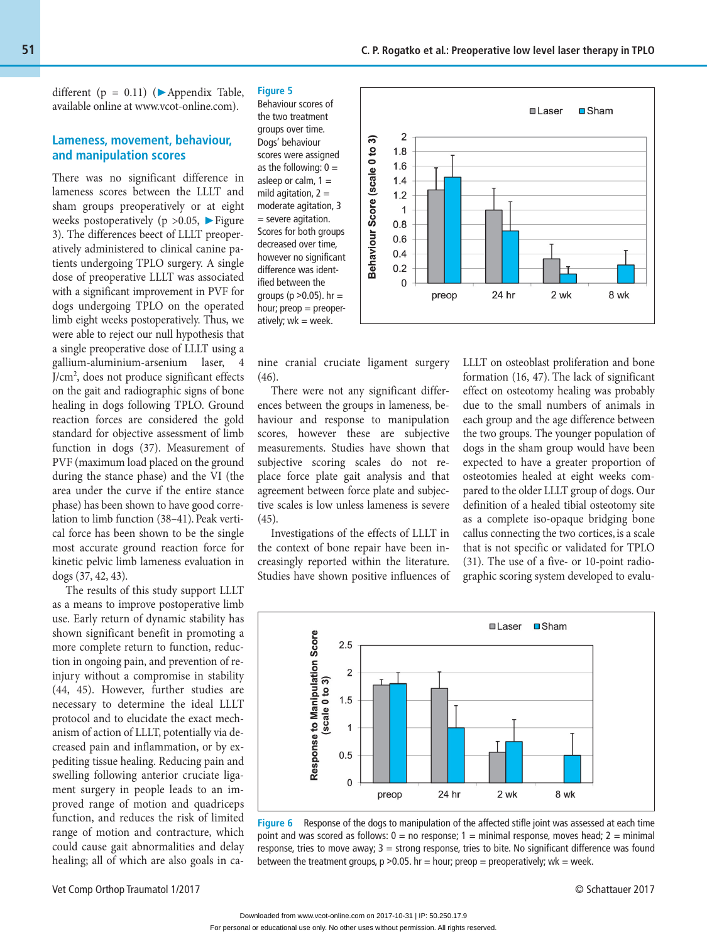different (p = 0.11) ( $\blacktriangleright$  Appendix Table, available online at www.vcot-online.com).

## **Lameness, movement, behaviour, and manipulation scores**

There was no significant difference in lameness scores between the LLLT and sham groups preoperatively or at eight weeks postoperatively (p  $>0.05$ ,  $\blacktriangleright$  Figure 3). The differences beect of LLLT preoperatively administered to clinical canine patients undergoing TPLO surgery. A single dose of preoperative LLLT was associated with a significant improvement in PVF for dogs undergoing TPLO on the operated limb eight weeks postoperatively. Thus, we were able to reject our null hypothesis that a single preoperative dose of LLLT using a gallium-aluminium- arsenium laser, 4 J/cm2 , does not produce significant effects on the gait and radiographic signs of bone healing in dogs following TPLO. Ground reaction forces are considered the gold standard for objective assessment of limb function in dogs (37). Measurement of PVF (maximum load placed on the ground during the stance phase) and the VI (the area under the curve if the entire stance phase) has been shown to have good correlation to limb function (38–41). Peak vertical force has been shown to be the single most accurate ground reaction force for kinetic pelvic limb lameness evaluation in dogs (37, 42, 43).

The results of this study support LLLT as a means to improve postoperative limb use. Early return of dynamic stability has shown significant benefit in promoting a more complete return to function, reduction in ongoing pain, and prevention of reinjury without a compromise in stability (44, 45). However, further studies are necessary to determine the ideal LLLT protocol and to elucidate the exact mechanism of action of LLLT, potentially via decreased pain and inflammation, or by expediting tissue healing. Reducing pain and swelling following anterior cruciate ligament surgery in people leads to an improved range of motion and quadriceps function, and reduces the risk of limited range of motion and contracture, which could cause gait abnormalities and delay healing; all of which are also goals in ca-

#### **Figure 5**

Behaviour scores of the two treatment groups over time. Dogs' behaviour scores were assigned as the following:  $0 =$ asleep or calm,  $1 =$ mild agitation,  $2 =$ moderate agitation, 3 = severe agitation. Scores for both groups decreased over time, however no significant difference was identified between the groups ( $p > 0.05$ ). hr = hour; preop = preoperatively;  $wk = week$ .



nine cranial cruciate ligament surgery (46).

There were not any significant differences between the groups in lameness, behaviour and response to manipulation scores, however these are subjective measurements. Studies have shown that subjective scoring scales do not replace force plate gait analysis and that agreement between force plate and subjective scales is low unless lameness is severe  $(45)$ 

Investigations of the effects of LLLT in the context of bone repair have been increasingly reported within the literature. Studies have shown positive influences of LLLT on osteoblast proliferation and bone formation (16, 47). The lack of significant effect on osteotomy healing was probably due to the small numbers of animals in each group and the age difference between the two groups. The younger population of dogs in the sham group would have been expected to have a greater proportion of osteotomies healed at eight weeks compared to the older LLLT group of dogs. Our definition of a healed tibial osteotomy site as a complete iso-opaque bridging bone callus connecting the two cortices, is a scale that is not specific or validated for TPLO (31). The use of a five- or 10-point radiographic scoring system developed to evalu-



**Figure 6** Response of the dogs to manipulation of the affected stifle joint was assessed at each time point and was scored as follows:  $0 =$  no response;  $1 =$  minimal response, moves head;  $2 =$  minimal response, tries to move away; 3 = strong response, tries to bite. No significant difference was found between the treatment groups,  $p > 0.05$ . hr = hour; preop = preoperatively; wk = week.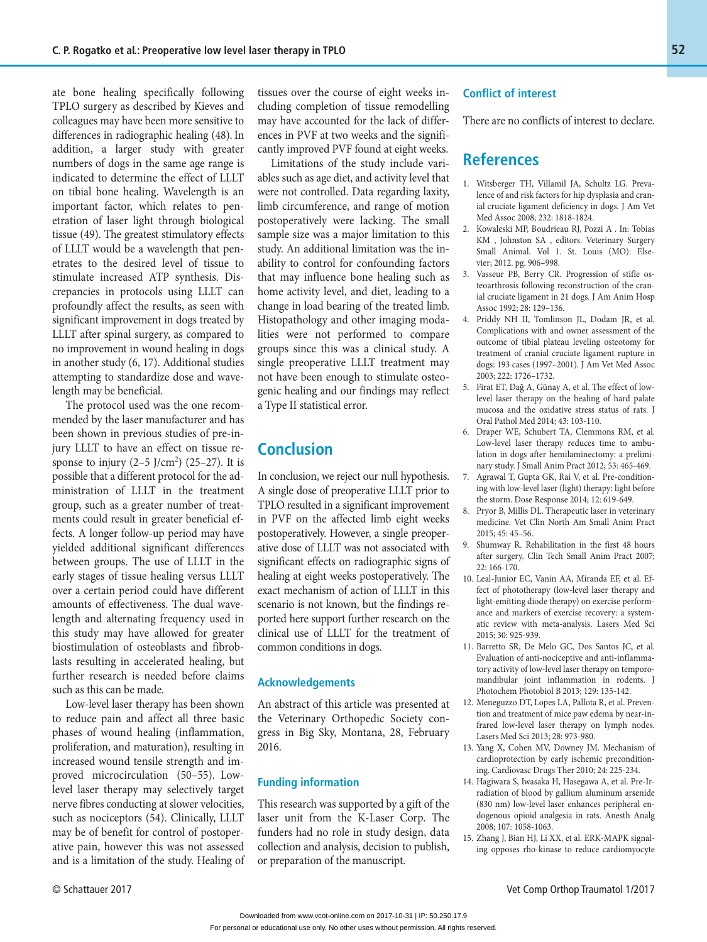ate bone healing specifically following TPLO surgery as described by Kieves and colleagues may have been more sensitive to differences in radiographic healing (48). In addition, a larger study with greater numbers of dogs in the same age range is indicated to determine the effect of LLLT on tibial bone healing. Wavelength is an important factor, which relates to penetration of laser light through biological tissue (49). The greatest stimulatory effects of LLLT would be a wavelength that penetrates to the desired level of tissue to stimulate increased ATP synthesis. Discrepancies in protocols using LLLT can profoundly affect the results, as seen with significant improvement in dogs treated by LLLT after spinal surgery, as compared to no improvement in wound healing in dogs in another study (6, 17). Additional studies attempting to standardize dose and wavelength may be beneficial.

The protocol used was the one recommended by the laser manufacturer and has been shown in previous studies of pre-injury LLLT to have an effect on tissue response to injury  $(2-5 \text{ J/cm}^2)$   $(25-27)$ . It is possible that a different protocol for the administration of LLLT in the treatment group, such as a greater number of treatments could result in greater beneficial effects. A longer follow-up period may have yielded additional significant differences between groups. The use of LLLT in the early stages of tissue healing versus LLLT over a certain period could have different amounts of effectiveness. The dual wavelength and alternating frequency used in this study may have allowed for greater biostimulation of osteoblasts and fibroblasts resulting in accelerated healing, but further research is needed before claims such as this can be made.

Low-level laser therapy has been shown to reduce pain and affect all three basic phases of wound healing (inflammation, proliferation, and maturation), resulting in increased wound tensile strength and improved microcirculation (50–55). Lowlevel laser therapy may selectively target nerve fibres conducting at slower velocities, such as nociceptors (54). Clinically, LLLT may be of benefit for control of postoperative pain, however this was not assessed and is a limitation of the study. Healing of tissues over the course of eight weeks including completion of tissue remodelling may have accounted for the lack of differences in PVF at two weeks and the significantly improved PVF found at eight weeks.

Limitations of the study include variables such as age diet, and activity level that were not controlled. Data regarding laxity, limb circumference, and range of motion postoperatively were lacking. The small sample size was a major limitation to this study. An additional limitation was the inability to control for confounding factors that may influence bone healing such as home activity level, and diet, leading to a change in load bearing of the treated limb. Histopathology and other imaging modalities were not performed to compare groups since this was a clinical study. A single preoperative LLLT treatment may not have been enough to stimulate osteogenic healing and our findings may reflect a Type II statistical error.

# **Conclusion**

In conclusion, we reject our null hypothesis. A single dose of preoperative LLLT prior to TPLO resulted in a significant improvement in PVF on the affected limb eight weeks postoperatively. However, a single preoperative dose of LLLT was not associated with significant effects on radiographic signs of healing at eight weeks postoperatively. The exact mechanism of action of LLLT in this scenario is not known, but the findings reported here support further research on the clinical use of LLLT for the treatment of common conditions in dogs.

#### **Acknowledgements**

An abstract of this article was presented at the Veterinary Orthopedic Society congress in Big Sky, Montana, 28, February 2016.

#### **Funding information**

This research was supported by a gift of the laser unit from the K-Laser Corp. The funders had no role in study design, data collection and analysis, decision to publish, or preparation of the manuscript.

#### **Conflict of interest**

There are no conflicts of interest to declare.

## **References**

- 1. Witsberger TH, Villamil JA, Schultz LG. Prevalence of and risk factors for hip dysplasia and cranial cruciate ligament deficiency in dogs. J Am Vet Med Assoc 2008; 232: 1818-1824.
- 2. Kowaleski MP, Boudrieau RJ, Pozzi A . In: Tobias KM , Johnston SA , editors. Veterinary Surgery Small Animal. Vol 1. St. Louis (MO): Elsevier; 2012. pg. 906–998.
- 3. Vasseur PB, Berry CR. Progression of stifle osteoarthrosis following reconstruction of the cranial cruciate ligament in 21 dogs. J Am Anim Hosp Assoc 1992; 28: 129–136.
- 4. Priddy NH II, Tomlinson JL, Dodam JR, et al. Complications with and owner assessment of the outcome of tibial plateau leveling osteotomy for treatment of cranial cruciate ligament rupture in dogs: 193 cases (1997–2001). J Am Vet Med Assoc 2003; 222: 1726–1732.
- 5. Firat ET, Dağ A, Günay A, et al. The effect of lowlevel laser therapy on the healing of hard palate mucosa and the oxidative stress status of rats. J Oral Pathol Med 2014; 43: 103-110.
- 6. Draper WE, Schubert TA, Clemmons RM, et al. Low-level laser therapy reduces time to ambulation in dogs after hemilaminectomy: a preliminary study. J Small Anim Pract 2012; 53: 465-469.
- 7. Agrawal T, Gupta GK, Rai V, et al. Pre-conditioning with low-level laser (light) therapy: light before the storm. Dose Response 2014; 12: 619-649.
- Pryor B, Millis DL. Therapeutic laser in veterinary medicine. Vet Clin North Am Small Anim Pract 2015; 45: 45–56.
- 9. Shumway R. Rehabilitation in the first 48 hours after surgery. Clin Tech Small Anim Pract 2007; 22: 166-170.
- 10. Leal-Junior EC, Vanin AA, Miranda EF, et al. Effect of phototherapy (low-level laser therapy and light-emitting diode therapy) on exercise performance and markers of exercise recovery: a systematic review with meta-analysis. Lasers Med Sci 2015; 30: 925-939.
- 11. Barretto SR, De Melo GC, Dos Santos JC, et al. Evaluation of anti-nociceptive and anti-inflammatory activity of low-level laser therapy on temporomandibular joint inflammation in rodents. J Photochem Photobiol B 2013; 129: 135-142.
- 12. Meneguzzo DT, Lopes LA, Pallota R, et al. Prevention and treatment of mice paw edema by near-infrared low-level laser therapy on lymph nodes. Lasers Med Sci 2013; 28: 973-980.
- 13. Yang X, Cohen MV, Downey JM. Mechanism of cardioprotection by early ischemic preconditioning. Cardiovasc Drugs Ther 2010; 24: 225-234.
- 14. Hagiwara S, Iwasaka H, Hasegawa A, et al. Pre-Irradiation of blood by gallium aluminum arsenide (830 nm) low-level laser enhances peripheral endogenous opioid analgesia in rats. Anesth Analg 2008; 107: 1058-1063.
- 15. Zhang J, Bian HJ, Li XX, et al. ERK-MAPK signaling opposes rho-kinase to reduce cardiomyocyte

**52**